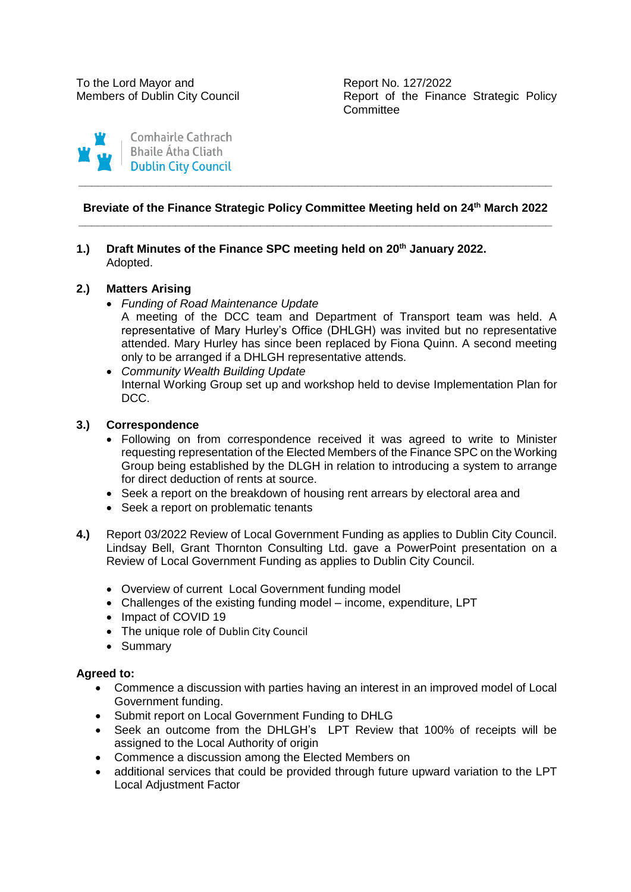Members of Dublin City Council **Report of the Finance Strategic Policy Committee** 



# **Breviate of the Finance Strategic Policy Committee Meeting held on 24th March 2022 \_\_\_\_\_\_\_\_\_\_\_\_\_\_\_\_\_\_\_\_\_\_\_\_\_\_\_\_\_\_\_\_\_\_\_\_\_\_\_\_\_\_\_\_\_\_\_\_\_\_\_\_\_\_\_\_\_\_\_\_\_\_\_\_\_\_\_\_\_\_\_\_\_**

**\_\_\_\_\_\_\_\_\_\_\_\_\_\_\_\_\_\_\_\_\_\_\_\_\_\_\_\_\_\_\_\_\_\_\_\_\_\_\_\_\_\_\_\_\_\_\_\_\_\_\_\_\_\_\_\_\_\_\_\_\_\_\_\_\_\_\_\_\_\_\_\_\_**

# **1.) Draft Minutes of the Finance SPC meeting held on 20th January 2022.** Adopted.

# **2.) Matters Arising**

*Funding of Road Maintenance Update*

A meeting of the DCC team and Department of Transport team was held. A representative of Mary Hurley's Office (DHLGH) was invited but no representative attended. Mary Hurley has since been replaced by Fiona Quinn. A second meeting only to be arranged if a DHLGH representative attends.

 *Community Wealth Building Update* Internal Working Group set up and workshop held to devise Implementation Plan for DCC.

# **3.) Correspondence**

- Following on from correspondence received it was agreed to write to Minister requesting representation of the Elected Members of the Finance SPC on the Working Group being established by the DLGH in relation to introducing a system to arrange for direct deduction of rents at source.
- Seek a report on the breakdown of housing rent arrears by electoral area and
- Seek a report on problematic tenants
- **4.)** Report 03/2022 Review of Local Government Funding as applies to Dublin City Council. Lindsay Bell, Grant Thornton Consulting Ltd. gave a PowerPoint presentation on a Review of Local Government Funding as applies to Dublin City Council.
	- Overview of current Local Government funding model
	- Challenges of the existing funding model income, expenditure, LPT
	- Impact of COVID 19
	- The unique role of Dublin City Council
	- Summary

## **Agreed to:**

- Commence a discussion with parties having an interest in an improved model of Local Government funding.
- Submit report on Local Government Funding to DHLG
- Seek an outcome from the DHLGH's LPT Review that 100% of receipts will be assigned to the Local Authority of origin
- Commence a discussion among the Elected Members on
- additional services that could be provided through future upward variation to the LPT Local Adjustment Factor